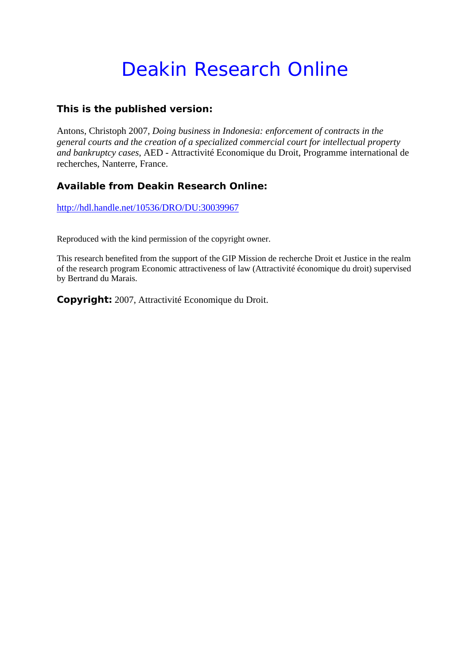# Deakin Research Online

## **This is the published version:**

Antons, Christoph 2007*, Doing business in Indonesia: enforcement of contracts in the general courts and the creation of a specialized commercial court for intellectual property and bankruptcy cases*, AED - Attractivité Economique du Droit, Programme international de recherches, Nanterre, France.

## **Available from Deakin Research Online:**

http://hdl.handle.net/10536/DRO/DU:30039967

Reproduced with the kind permission of the copyright owner.

This research benefited from the support of the GIP Mission de recherche Droit et Justice in the realm of the research program Economic attractiveness of law (Attractivité économique du droit) supervised by Bertrand du Marais.

**Copyright:** 2007, Attractivité Economique du Droit.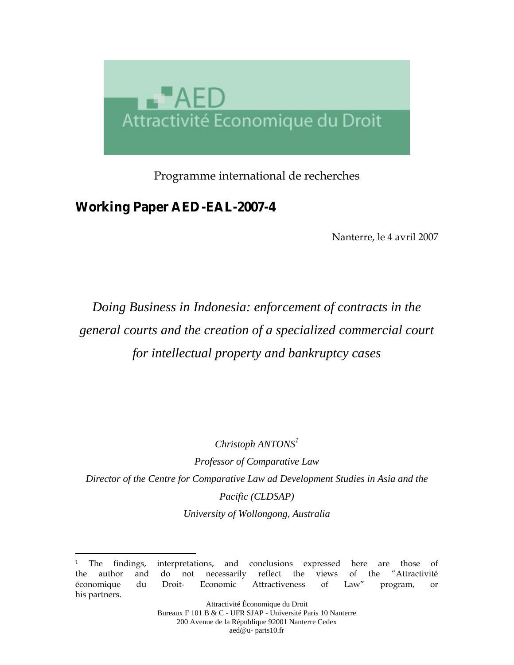

# Programme international de recherches

# **Working Paper AED-EAL-2007-4**

 $\overline{a}$ 

Nanterre, le 4 avril 2007

# *Doing Business in Indonesia: enforcement of contracts in the general courts and the creation of a specialized commercial court for intellectual property and bankruptcy cases*

*Christoph ANTONS1*

*Professor of Comparative Law*

*Director of the Centre for Comparative Law ad Development Studies in Asia and the Pacific (CLDSAP)*

*University of Wollongong, Australia*

Attractivité Économique du Droit Bureaux F 101 B & C - UFR SJAP - Université Paris 10 Nanterre 200 Avenue de la République 92001 Nanterre Cedex aed@u- paris10.fr

<sup>1</sup> The findings, interpretations, and conclusions expressed here are those of the author and do not necessarily reflect the views of the "Attractivité économique du Droit- Economic Attractiveness of Law" program, or his partners.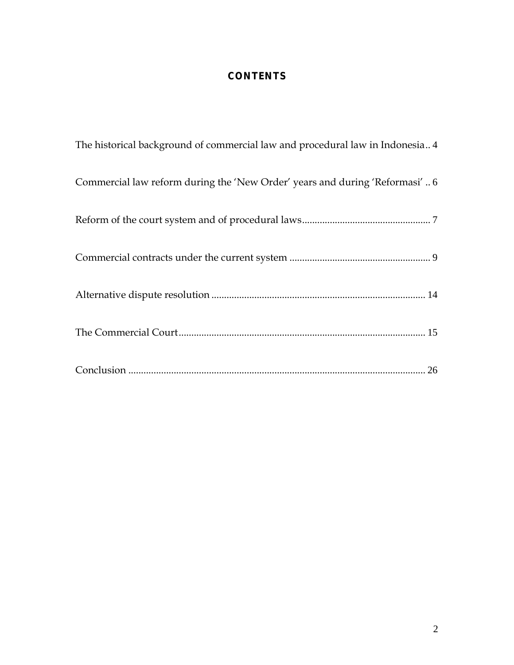## **CONTENTS**

| The historical background of commercial law and procedural law in Indonesia 4 |
|-------------------------------------------------------------------------------|
| Commercial law reform during the 'New Order' years and during 'Reformasi'  6  |
|                                                                               |
|                                                                               |
|                                                                               |
|                                                                               |
|                                                                               |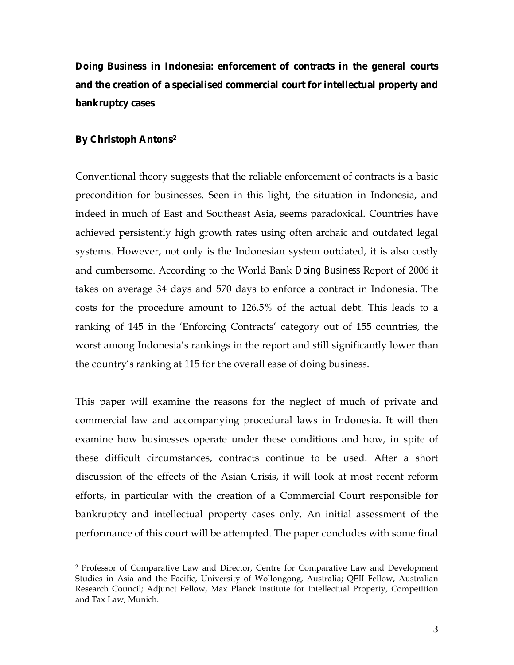*Doing Business* **in Indonesia: enforcement of contracts in the general courts and the creation of a specialised commercial court for intellectual property and bankruptcy cases**

### **By Christoph Antons2**

 $\overline{a}$ 

Conventional theory suggests that the reliable enforcement of contracts is a basic precondition for businesses. Seen in this light, the situation in Indonesia, and indeed in much of East and Southeast Asia, seems paradoxical. Countries have achieved persistently high growth rates using often archaic and outdated legal systems. However, not only is the Indonesian system outdated, it is also costly and cumbersome. According to the World Bank *Doing Business* Report of 2006 it takes on average 34 days and 570 days to enforce a contract in Indonesia. The costs for the procedure amount to 126.5% of the actual debt. This leads to a ranking of 145 in the 'Enforcing Contracts' category out of 155 countries, the worst among Indonesia's rankings in the report and still significantly lower than the country's ranking at 115 for the overall ease of doing business.

This paper will examine the reasons for the neglect of much of private and commercial law and accompanying procedural laws in Indonesia. It will then examine how businesses operate under these conditions and how, in spite of these difficult circumstances, contracts continue to be used. After a short discussion of the effects of the Asian Crisis, it will look at most recent reform efforts, in particular with the creation of a Commercial Court responsible for bankruptcy and intellectual property cases only. An initial assessment of the performance of this court will be attempted. The paper concludes with some final

<sup>2</sup> Professor of Comparative Law and Director, Centre for Comparative Law and Development Studies in Asia and the Pacific, University of Wollongong, Australia; QEII Fellow, Australian Research Council; Adjunct Fellow, Max Planck Institute for Intellectual Property, Competition and Tax Law, Munich.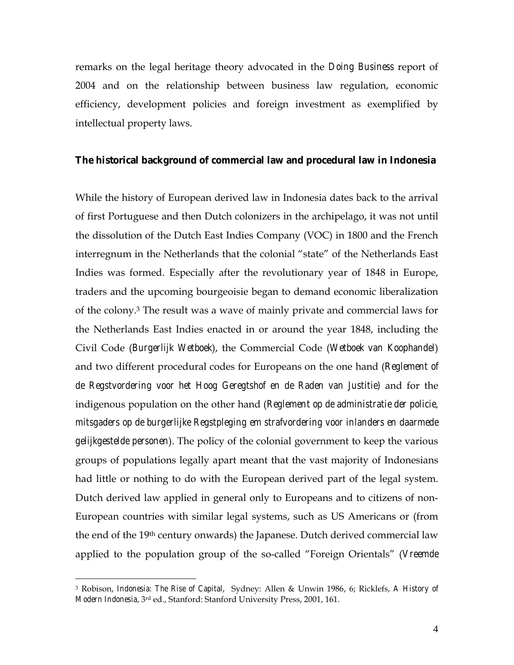remarks on the legal heritage theory advocated in the *Doing Business* report of 2004 and on the relationship between business law regulation, economic efficiency, development policies and foreign investment as exemplified by intellectual property laws.

#### **The historical background of commercial law and procedural law in Indonesia**

While the history of European derived law in Indonesia dates back to the arrival of first Portuguese and then Dutch colonizers in the archipelago, it was not until the dissolution of the Dutch East Indies Company (VOC) in 1800 and the French interregnum in the Netherlands that the colonial "state" of the Netherlands East Indies was formed. Especially after the revolutionary year of 1848 in Europe, traders and the upcoming bourgeoisie began to demand economic liberalization of the colony.3 The result was a wave of mainly private and commercial laws for the Netherlands East Indies enacted in or around the year 1848, including the Civil Code (*Burgerlijk Wetboek*), the Commercial Code (*Wetboek van Koophandel*) and two different procedural codes for Europeans on the one hand (*Reglement of de Regstvordering voor het Hoog Geregtshof en de Raden van Justitie)* and for the indigenous population on the other hand (*Reglement op de administratie der policie, mitsgaders op de burgerlijke Regstpleging em strafvordering voor inlanders en daarmede gelijkgestelde personen*). The policy of the colonial government to keep the various groups of populations legally apart meant that the vast majority of Indonesians had little or nothing to do with the European derived part of the legal system. Dutch derived law applied in general only to Europeans and to citizens of non-European countries with similar legal systems, such as US Americans or (from the end of the 19th century onwards) the Japanese. Dutch derived commercial law applied to the population group of the so-called "Foreign Orientals" (*Vreemde* 

<sup>3</sup> Robison, *Indonesia: The Rise of Capital*, Sydney: Allen & Unwin 1986, 6; Ricklefs, *A History of Modern Indonesia*, 3rd ed., Stanford: Stanford University Press, 2001, 161.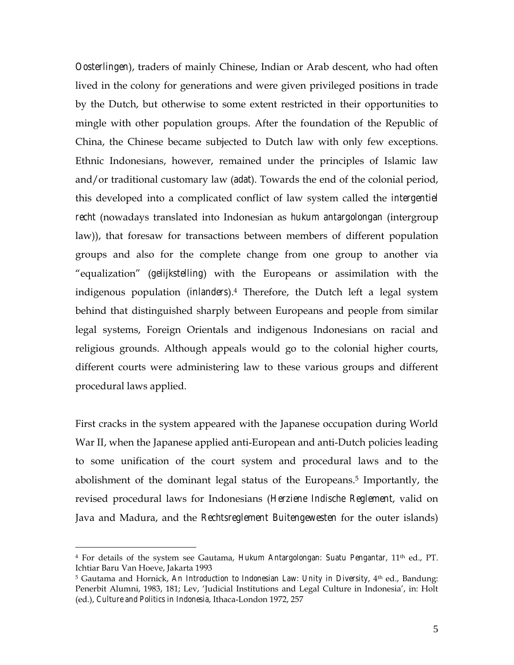*Oosterlingen*), traders of mainly Chinese, Indian or Arab descent, who had often lived in the colony for generations and were given privileged positions in trade by the Dutch, but otherwise to some extent restricted in their opportunities to mingle with other population groups. After the foundation of the Republic of China, the Chinese became subjected to Dutch law with only few exceptions. Ethnic Indonesians, however, remained under the principles of Islamic law and/or traditional customary law (*adat*). Towards the end of the colonial period, this developed into a complicated conflict of law system called the *intergentiel recht* (nowadays translated into Indonesian as *hukum antargolongan* (intergroup law)), that foresaw for transactions between members of different population groups and also for the complete change from one group to another via "equalization" (*gelijkstelling*) with the Europeans or assimilation with the indigenous population (*inlanders*).4 Therefore, the Dutch left a legal system behind that distinguished sharply between Europeans and people from similar legal systems, Foreign Orientals and indigenous Indonesians on racial and religious grounds. Although appeals would go to the colonial higher courts, different courts were administering law to these various groups and different procedural laws applied.

First cracks in the system appeared with the Japanese occupation during World War II, when the Japanese applied anti-European and anti-Dutch policies leading to some unification of the court system and procedural laws and to the abolishment of the dominant legal status of the Europeans.<sup>5</sup> Importantly, the revised procedural laws for Indonesians (*Herziene Indische Reglement*, valid on Java and Madura, and the *Rechtsreglement Buitengewesten* for the outer islands)

<sup>&</sup>lt;sup>4</sup> For details of the system see Gautama, *Hukum Antargolongan: Suatu Pengantar*, 11<sup>th</sup> ed., PT. Ichtiar Baru Van Hoeve, Jakarta 1993

<sup>&</sup>lt;sup>5</sup> Gautama and Hornick, An Introduction to Indonesian Law: Unity in Diversity, 4<sup>th</sup> ed., Bandung: Penerbit Alumni, 1983, 181; Lev, 'Judicial Institutions and Legal Culture in Indonesia', in: Holt (ed.), *Culture and Politics in Indonesia*, Ithaca-London 1972, 257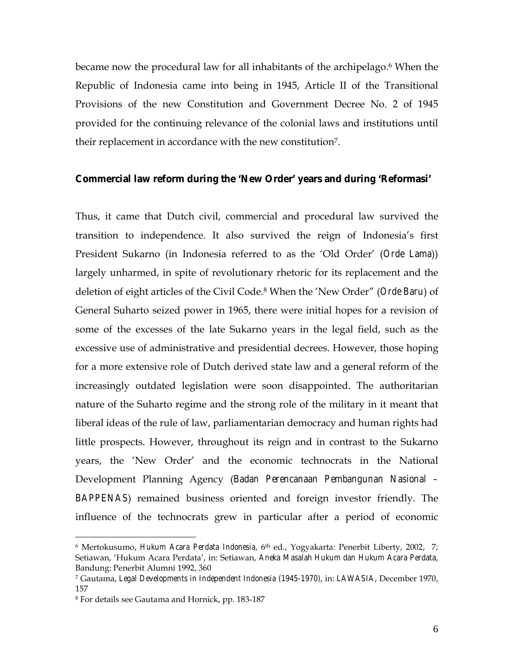became now the procedural law for all inhabitants of the archipelago.6 When the Republic of Indonesia came into being in 1945, Article II of the Transitional Provisions of the new Constitution and Government Decree No. 2 of 1945 provided for the continuing relevance of the colonial laws and institutions until their replacement in accordance with the new constitution7.

#### **Commercial law reform during the 'New Order' years and during 'Reformasi'**

Thus, it came that Dutch civil, commercial and procedural law survived the transition to independence. It also survived the reign of Indonesia's first President Sukarno (in Indonesia referred to as the 'Old Order' (*Orde Lama*)) largely unharmed, in spite of revolutionary rhetoric for its replacement and the deletion of eight articles of the Civil Code.8 When the 'New Order" (*Orde Baru*) of General Suharto seized power in 1965, there were initial hopes for a revision of some of the excesses of the late Sukarno years in the legal field, such as the excessive use of administrative and presidential decrees. However, those hoping for a more extensive role of Dutch derived state law and a general reform of the increasingly outdated legislation were soon disappointed. The authoritarian nature of the Suharto regime and the strong role of the military in it meant that liberal ideas of the rule of law, parliamentarian democracy and human rights had little prospects. However, throughout its reign and in contrast to the Sukarno years, the 'New Order' and the economic technocrats in the National Development Planning Agency (*Badan Perencanaan Pembangunan Nasional – BAPPENAS*) remained business oriented and foreign investor friendly. The influence of the technocrats grew in particular after a period of economic

<sup>6</sup> Mertokusumo, *Hukum Acara Perdata Indonesia*, 6th ed., Yogyakarta: Penerbit Liberty, 2002, 7; Setiawan, 'Hukum Acara Perdata', in: Setiawan, *Aneka Masalah Hukum dan Hukum Acara Perdata*, Bandung: Penerbit Alumni 1992, 360

<sup>7</sup> Gautama, *Legal Developments in Independent Indonesia (1945-1970)*, in: *LAWASIA*, December 1970, 157

<sup>8</sup> For details see Gautama and Hornick, pp. 183-187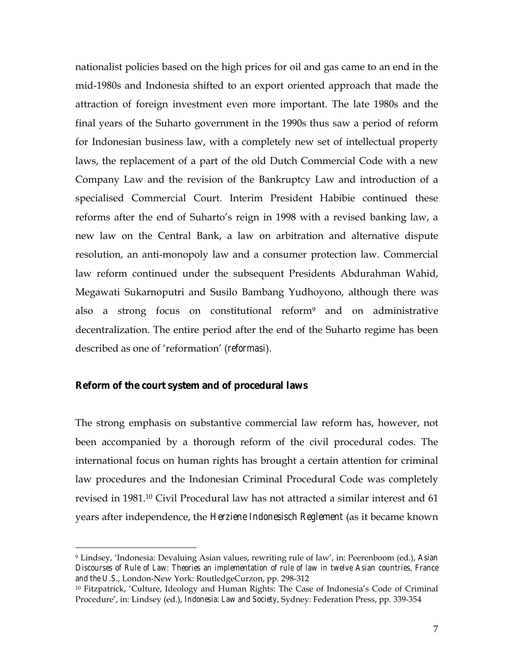nationalist policies based on the high prices for oil and gas came to an end in the mid-1980s and Indonesia shifted to an export oriented approach that made the attraction of foreign investment even more important. The late 1980s and the final years of the Suharto government in the 1990s thus saw a period of reform for Indonesian business law, with a completely new set of intellectual property laws, the replacement of a part of the old Dutch Commercial Code with a new Company Law and the revision of the Bankruptcy Law and introduction of a specialised Commercial Court. Interim President Habibie continued these reforms after the end of Suharto's reign in 1998 with a revised banking law, a new law on the Central Bank, a law on arbitration and alternative dispute resolution, an anti-monopoly law and a consumer protection law. Commercial law reform continued under the subsequent Presidents Abdurahman Wahid, Megawati Sukarnoputri and Susilo Bambang Yudhoyono, although there was also a strong focus on constitutional reform9 and on administrative decentralization. The entire period after the end of the Suharto regime has been described as one of 'reformation' (*reformasi*).

#### **Reform of the court system and of procedural laws**

 $\overline{a}$ 

The strong emphasis on substantive commercial law reform has, however, not been accompanied by a thorough reform of the civil procedural codes. The international focus on human rights has brought a certain attention for criminal law procedures and the Indonesian Criminal Procedural Code was completely revised in 1981.10 Civil Procedural law has not attracted a similar interest and 61 years after independence, the *Herziene Indonesisch Reglement* (as it became known

<sup>9</sup> Lindsey, 'Indonesia: Devaluing Asian values, rewriting rule of law', in: Peerenboom (ed.), *Asian Discourses of Rule of Law: Theories an implementation of rule of law in twelve Asian countries, France and the U.S.*, London-New York: RoutledgeCurzon, pp. 298-312

<sup>10</sup> Fitzpatrick, 'Culture, Ideology and Human Rights: The Case of Indonesia's Code of Criminal Procedure', in: Lindsey (ed.), *Indonesia: Law and Society*, Sydney: Federation Press, pp. 339-354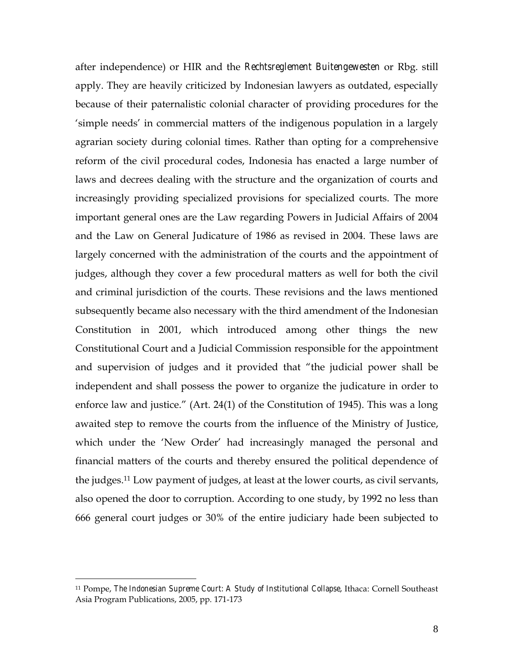after independence) or HIR and the *Rechtsreglement Buitengewesten* or Rbg. still apply. They are heavily criticized by Indonesian lawyers as outdated, especially because of their paternalistic colonial character of providing procedures for the 'simple needs' in commercial matters of the indigenous population in a largely agrarian society during colonial times. Rather than opting for a comprehensive reform of the civil procedural codes, Indonesia has enacted a large number of laws and decrees dealing with the structure and the organization of courts and increasingly providing specialized provisions for specialized courts. The more important general ones are the Law regarding Powers in Judicial Affairs of 2004 and the Law on General Judicature of 1986 as revised in 2004. These laws are largely concerned with the administration of the courts and the appointment of judges, although they cover a few procedural matters as well for both the civil and criminal jurisdiction of the courts. These revisions and the laws mentioned subsequently became also necessary with the third amendment of the Indonesian Constitution in 2001, which introduced among other things the new Constitutional Court and a Judicial Commission responsible for the appointment and supervision of judges and it provided that "the judicial power shall be independent and shall possess the power to organize the judicature in order to enforce law and justice." (Art. 24(1) of the Constitution of 1945). This was a long awaited step to remove the courts from the influence of the Ministry of Justice, which under the 'New Order' had increasingly managed the personal and financial matters of the courts and thereby ensured the political dependence of the judges.11 Low payment of judges, at least at the lower courts, as civil servants, also opened the door to corruption. According to one study, by 1992 no less than 666 general court judges or 30% of the entire judiciary hade been subjected to

<sup>11</sup> Pompe, *The Indonesian Supreme Court: A Study of Institutional Collapse*, Ithaca: Cornell Southeast Asia Program Publications, 2005, pp. 171-173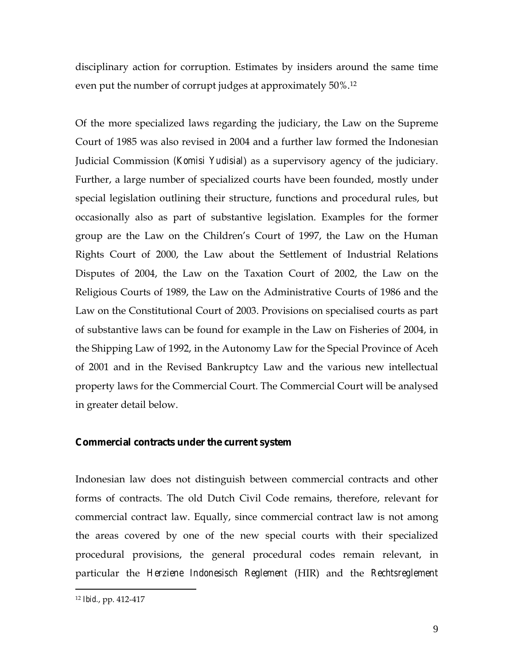disciplinary action for corruption. Estimates by insiders around the same time even put the number of corrupt judges at approximately 50%.12

Of the more specialized laws regarding the judiciary, the Law on the Supreme Court of 1985 was also revised in 2004 and a further law formed the Indonesian Judicial Commission *(Komisi Yudisial*) as a supervisory agency of the judiciary. Further, a large number of specialized courts have been founded, mostly under special legislation outlining their structure, functions and procedural rules, but occasionally also as part of substantive legislation. Examples for the former group are the Law on the Children's Court of 1997, the Law on the Human Rights Court of 2000, the Law about the Settlement of Industrial Relations Disputes of 2004, the Law on the Taxation Court of 2002, the Law on the Religious Courts of 1989, the Law on the Administrative Courts of 1986 and the Law on the Constitutional Court of 2003. Provisions on specialised courts as part of substantive laws can be found for example in the Law on Fisheries of 2004, in the Shipping Law of 1992, in the Autonomy Law for the Special Province of Aceh of 2001 and in the Revised Bankruptcy Law and the various new intellectual property laws for the Commercial Court. The Commercial Court will be analysed in greater detail below.

### **Commercial contracts under the current system**

Indonesian law does not distinguish between commercial contracts and other forms of contracts. The old Dutch Civil Code remains, therefore, relevant for commercial contract law. Equally, since commercial contract law is not among the areas covered by one of the new special courts with their specialized procedural provisions, the general procedural codes remain relevant, in particular the *Herziene Indonesisch Reglement* (HIR) and the *Rechtsreglement* 

<sup>12</sup> *Ibid.*, pp. 412-417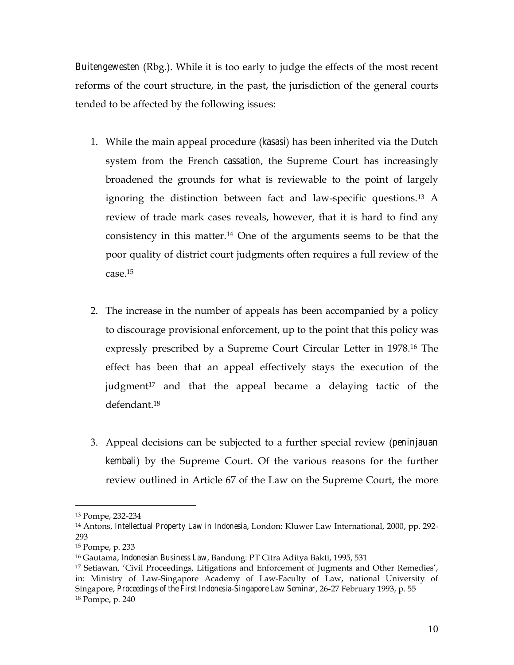*Buitengewesten* (Rbg.). While it is too early to judge the effects of the most recent reforms of the court structure, in the past, the jurisdiction of the general courts tended to be affected by the following issues:

- 1. While the main appeal procedure (*kasasi*) has been inherited via the Dutch system from the French *cassation*, the Supreme Court has increasingly broadened the grounds for what is reviewable to the point of largely ignoring the distinction between fact and law-specific questions.13 A review of trade mark cases reveals, however, that it is hard to find any consistency in this matter.14 One of the arguments seems to be that the poor quality of district court judgments often requires a full review of the case.15
- 2. The increase in the number of appeals has been accompanied by a policy to discourage provisional enforcement, up to the point that this policy was expressly prescribed by a Supreme Court Circular Letter in 1978.16 The effect has been that an appeal effectively stays the execution of the judgment<sup>17</sup> and that the appeal became a delaying tactic of the defendant.18
- 3. Appeal decisions can be subjected to a further special review (*peninjauan kembali*) by the Supreme Court. Of the various reasons for the further review outlined in Article 67 of the Law on the Supreme Court, the more

<sup>13</sup> Pompe, 232-234

<sup>14</sup> Antons, *Intellectual Property Law in Indonesia*, London: Kluwer Law International, 2000, pp. 292- 293

<sup>15</sup> Pompe, p. 233

<sup>16</sup> Gautama, *Indonesian Business Law*, Bandung: PT Citra Aditya Bakti, 1995, 531

<sup>&</sup>lt;sup>17</sup> Setiawan, 'Civil Proceedings, Litigations and Enforcement of Jugments and Other Remedies', in: Ministry of Law-Singapore Academy of Law-Faculty of Law, national University of Singapore, *Proceedings of the First Indonesia-Singapore Law Seminar*, 26-27 February 1993, p. 55 18 Pompe, p. 240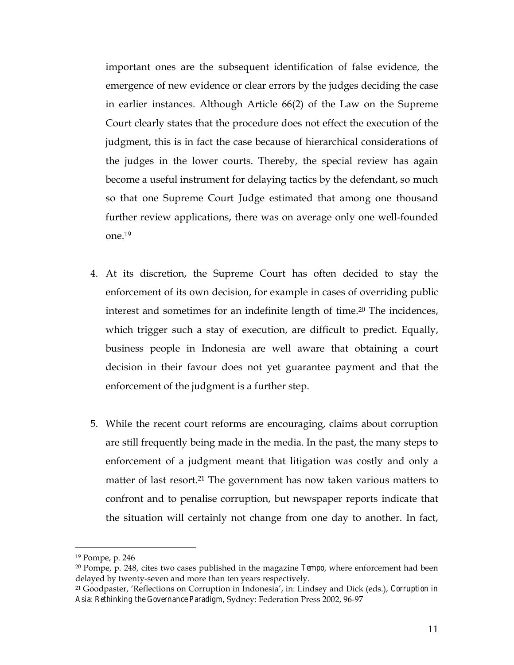important ones are the subsequent identification of false evidence, the emergence of new evidence or clear errors by the judges deciding the case in earlier instances. Although Article 66(2) of the Law on the Supreme Court clearly states that the procedure does not effect the execution of the judgment, this is in fact the case because of hierarchical considerations of the judges in the lower courts. Thereby, the special review has again become a useful instrument for delaying tactics by the defendant, so much so that one Supreme Court Judge estimated that among one thousand further review applications, there was on average only one well-founded one.19

- 4. At its discretion, the Supreme Court has often decided to stay the enforcement of its own decision, for example in cases of overriding public interest and sometimes for an indefinite length of time.<sup>20</sup> The incidences, which trigger such a stay of execution, are difficult to predict. Equally, business people in Indonesia are well aware that obtaining a court decision in their favour does not yet guarantee payment and that the enforcement of the judgment is a further step.
- 5. While the recent court reforms are encouraging, claims about corruption are still frequently being made in the media. In the past, the many steps to enforcement of a judgment meant that litigation was costly and only a matter of last resort.<sup>21</sup> The government has now taken various matters to confront and to penalise corruption, but newspaper reports indicate that the situation will certainly not change from one day to another. In fact,

<sup>19</sup> Pompe, p. 246

<sup>20</sup> Pompe, p. 248, cites two cases published in the magazine *Tempo*, where enforcement had been delayed by twenty-seven and more than ten years respectively.

<sup>21</sup> Goodpaster, 'Reflections on Corruption in Indonesia', in: Lindsey and Dick (eds.), *Corruption in Asia: Rethinking the Governance Paradigm,* Sydney: Federation Press 2002, 96-97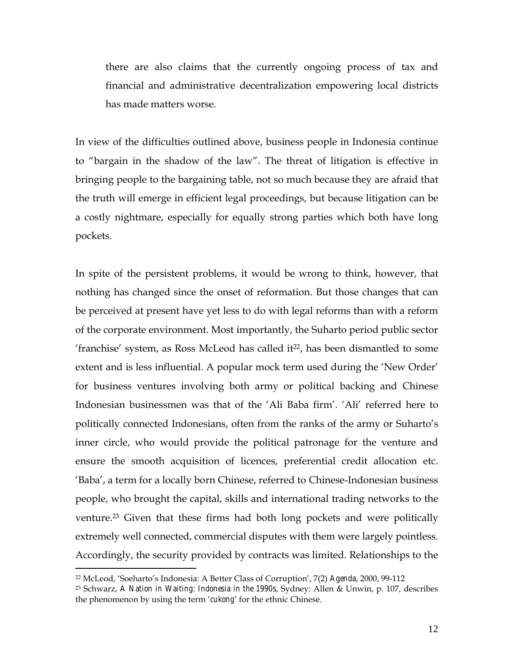there are also claims that the currently ongoing process of tax and financial and administrative decentralization empowering local districts has made matters worse.

In view of the difficulties outlined above, business people in Indonesia continue to "bargain in the shadow of the law". The threat of litigation is effective in bringing people to the bargaining table, not so much because they are afraid that the truth will emerge in efficient legal proceedings, but because litigation can be a costly nightmare, especially for equally strong parties which both have long pockets.

In spite of the persistent problems, it would be wrong to think, however, that nothing has changed since the onset of reformation. But those changes that can be perceived at present have yet less to do with legal reforms than with a reform of the corporate environment. Most importantly, the Suharto period public sector 'franchise' system, as Ross McLeod has called it<sup>22</sup>, has been dismantled to some extent and is less influential. A popular mock term used during the 'New Order' for business ventures involving both army or political backing and Chinese Indonesian businessmen was that of the 'Ali Baba firm'. 'Ali' referred here to politically connected Indonesians, often from the ranks of the army or Suharto's inner circle, who would provide the political patronage for the venture and ensure the smooth acquisition of licences, preferential credit allocation etc. 'Baba', a term for a locally born Chinese, referred to Chinese-Indonesian business people, who brought the capital, skills and international trading networks to the venture.23 Given that these firms had both long pockets and were politically extremely well connected, commercial disputes with them were largely pointless. Accordingly, the security provided by contracts was limited. Relationships to the

<sup>22</sup> McLeod, 'Soeharto's Indonesia: A Better Class of Corruption', 7(2) *Agenda*, 2000, 99-112

<sup>23</sup> Schwarz, *A Nation in Waiting: Indonesia in the 1990s*, Sydney: Allen & Unwin, p. 107, describes the phenomenon by using the term '*cukong*' for the ethnic Chinese.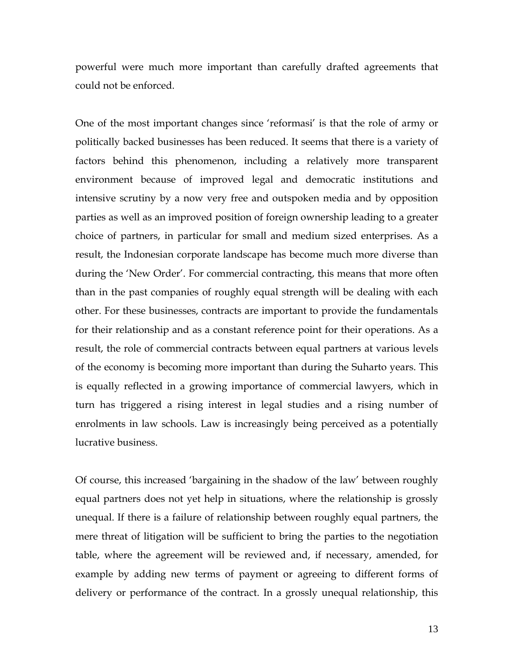powerful were much more important than carefully drafted agreements that could not be enforced.

One of the most important changes since 'reformasi' is that the role of army or politically backed businesses has been reduced. It seems that there is a variety of factors behind this phenomenon, including a relatively more transparent environment because of improved legal and democratic institutions and intensive scrutiny by a now very free and outspoken media and by opposition parties as well as an improved position of foreign ownership leading to a greater choice of partners, in particular for small and medium sized enterprises. As a result, the Indonesian corporate landscape has become much more diverse than during the 'New Order'. For commercial contracting, this means that more often than in the past companies of roughly equal strength will be dealing with each other. For these businesses, contracts are important to provide the fundamentals for their relationship and as a constant reference point for their operations. As a result, the role of commercial contracts between equal partners at various levels of the economy is becoming more important than during the Suharto years. This is equally reflected in a growing importance of commercial lawyers, which in turn has triggered a rising interest in legal studies and a rising number of enrolments in law schools. Law is increasingly being perceived as a potentially lucrative business.

Of course, this increased 'bargaining in the shadow of the law' between roughly equal partners does not yet help in situations, where the relationship is grossly unequal. If there is a failure of relationship between roughly equal partners, the mere threat of litigation will be sufficient to bring the parties to the negotiation table, where the agreement will be reviewed and, if necessary, amended, for example by adding new terms of payment or agreeing to different forms of delivery or performance of the contract. In a grossly unequal relationship, this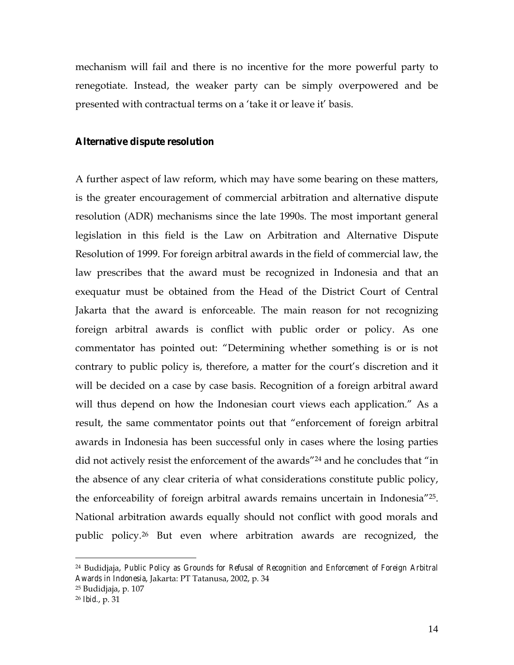mechanism will fail and there is no incentive for the more powerful party to renegotiate. Instead, the weaker party can be simply overpowered and be presented with contractual terms on a 'take it or leave it' basis.

#### **Alternative dispute resolution**

A further aspect of law reform, which may have some bearing on these matters, is the greater encouragement of commercial arbitration and alternative dispute resolution (ADR) mechanisms since the late 1990s. The most important general legislation in this field is the Law on Arbitration and Alternative Dispute Resolution of 1999. For foreign arbitral awards in the field of commercial law, the law prescribes that the award must be recognized in Indonesia and that an exequatur must be obtained from the Head of the District Court of Central Jakarta that the award is enforceable. The main reason for not recognizing foreign arbitral awards is conflict with public order or policy. As one commentator has pointed out: "Determining whether something is or is not contrary to public policy is, therefore, a matter for the court's discretion and it will be decided on a case by case basis. Recognition of a foreign arbitral award will thus depend on how the Indonesian court views each application." As a result, the same commentator points out that "enforcement of foreign arbitral awards in Indonesia has been successful only in cases where the losing parties did not actively resist the enforcement of the awards<sup>"24</sup> and he concludes that "in the absence of any clear criteria of what considerations constitute public policy, the enforceability of foreign arbitral awards remains uncertain in Indonesia"25. National arbitration awards equally should not conflict with good morals and public policy.26 But even where arbitration awards are recognized, the

<sup>24</sup> Budidjaja, *Public Policy as Grounds for Refusal of Recognition and Enforcement of Foreign Arbitral Awards in Indonesia*, Jakarta: PT Tatanusa, 2002, p. 34

<sup>25</sup> Budidjaja, p. 107

<sup>26</sup> *Ibid.*, p. 31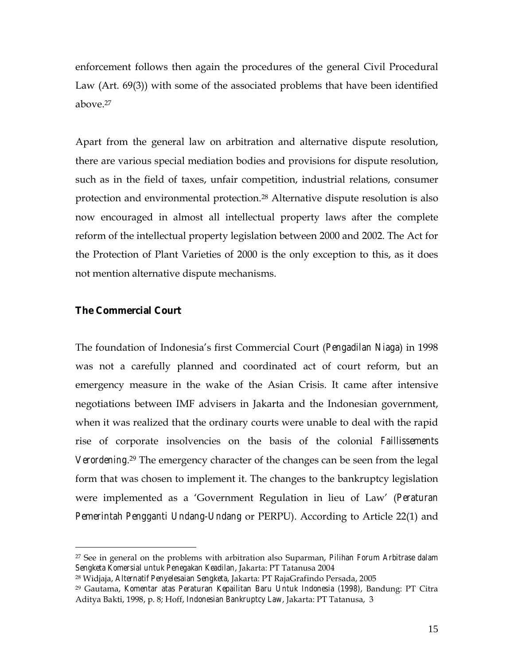enforcement follows then again the procedures of the general Civil Procedural Law (Art. 69(3)) with some of the associated problems that have been identified above.27

Apart from the general law on arbitration and alternative dispute resolution, there are various special mediation bodies and provisions for dispute resolution, such as in the field of taxes, unfair competition, industrial relations, consumer protection and environmental protection.28 Alternative dispute resolution is also now encouraged in almost all intellectual property laws after the complete reform of the intellectual property legislation between 2000 and 2002. The Act for the Protection of Plant Varieties of 2000 is the only exception to this, as it does not mention alternative dispute mechanisms.

#### **The Commercial Court**

 $\overline{a}$ 

The foundation of Indonesia's first Commercial Court (*Pengadilan Niaga*) in 1998 was not a carefully planned and coordinated act of court reform, but an emergency measure in the wake of the Asian Crisis. It came after intensive negotiations between IMF advisers in Jakarta and the Indonesian government, when it was realized that the ordinary courts were unable to deal with the rapid rise of corporate insolvencies on the basis of the colonial *Faillissements Verordening*. 29 The emergency character of the changes can be seen from the legal form that was chosen to implement it. The changes to the bankruptcy legislation were implemented as a 'Government Regulation in lieu of Law' (*Peraturan Pemerintah Pengganti Undang-Undang* or PERPU). According to Article 22(1) and

<sup>27</sup> See in general on the problems with arbitration also Suparman, *Pilihan Forum Arbitrase dalam Sengketa Komersial untuk Penegakan Keadilan*, Jakarta: PT Tatanusa 2004

<sup>28</sup> Widjaja, *Alternatif Penyelesaian Sengketa*, Jakarta: PT RajaGrafindo Persada, 2005

<sup>29</sup> Gautama, *Komentar atas Peraturan Kepailitan Baru Untuk Indonesia (1998)*, Bandung: PT Citra Aditya Bakti, 1998, p. 8; Hoff, *Indonesian Bankruptcy Law*, Jakarta: PT Tatanusa, 3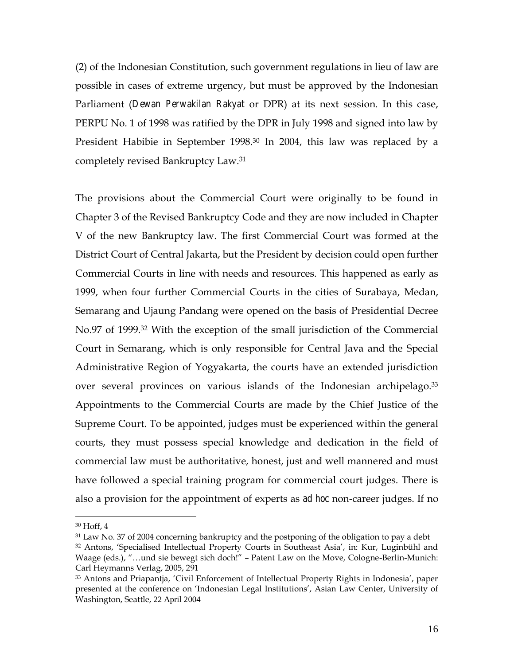(2) of the Indonesian Constitution, such government regulations in lieu of law are possible in cases of extreme urgency, but must be approved by the Indonesian Parliament (*Dewan Perwakilan Rakyat* or DPR) at its next session. In this case, PERPU No. 1 of 1998 was ratified by the DPR in July 1998 and signed into law by President Habibie in September 1998.<sup>30</sup> In 2004, this law was replaced by a completely revised Bankruptcy Law.31

The provisions about the Commercial Court were originally to be found in Chapter 3 of the Revised Bankruptcy Code and they are now included in Chapter V of the new Bankruptcy law. The first Commercial Court was formed at the District Court of Central Jakarta, but the President by decision could open further Commercial Courts in line with needs and resources. This happened as early as 1999, when four further Commercial Courts in the cities of Surabaya, Medan, Semarang and Ujaung Pandang were opened on the basis of Presidential Decree No.97 of 1999.32 With the exception of the small jurisdiction of the Commercial Court in Semarang, which is only responsible for Central Java and the Special Administrative Region of Yogyakarta, the courts have an extended jurisdiction over several provinces on various islands of the Indonesian archipelago.<sup>33</sup> Appointments to the Commercial Courts are made by the Chief Justice of the Supreme Court. To be appointed, judges must be experienced within the general courts, they must possess special knowledge and dedication in the field of commercial law must be authoritative, honest, just and well mannered and must have followed a special training program for commercial court judges. There is also a provision for the appointment of experts as *ad hoc* non-career judges. If no

<sup>30</sup> Hoff, 4

<sup>&</sup>lt;sup>31</sup> Law No. 37 of 2004 concerning bankruptcy and the postponing of the obligation to pay a debt

 $32$  Antons, 'Specialised Intellectual Property Courts in Southeast Asia', in: Kur, Luginbühl and Waage (eds.), "…und sie bewegt sich doch!" – Patent Law on the Move, Cologne-Berlin-Munich: Carl Heymanns Verlag, 2005, 291

<sup>33</sup> Antons and Priapantja, 'Civil Enforcement of Intellectual Property Rights in Indonesia', paper presented at the conference on 'Indonesian Legal Institutions', Asian Law Center, University of Washington, Seattle, 22 April 2004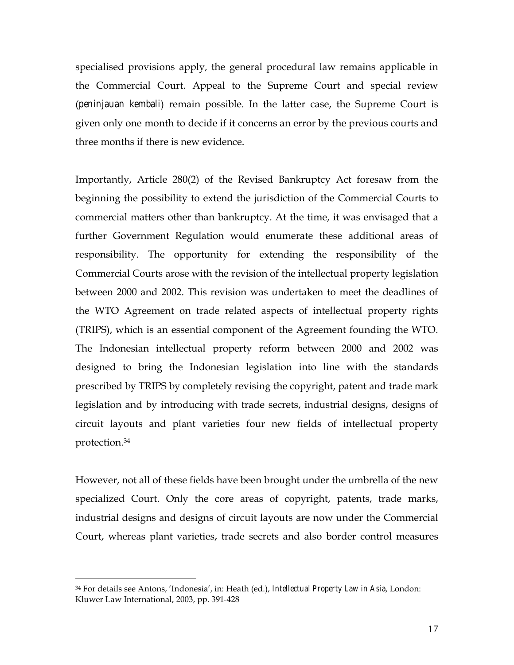specialised provisions apply, the general procedural law remains applicable in the Commercial Court. Appeal to the Supreme Court and special review (*peninjauan kembali*) remain possible. In the latter case, the Supreme Court is given only one month to decide if it concerns an error by the previous courts and three months if there is new evidence.

Importantly, Article 280(2) of the Revised Bankruptcy Act foresaw from the beginning the possibility to extend the jurisdiction of the Commercial Courts to commercial matters other than bankruptcy. At the time, it was envisaged that a further Government Regulation would enumerate these additional areas of responsibility. The opportunity for extending the responsibility of the Commercial Courts arose with the revision of the intellectual property legislation between 2000 and 2002. This revision was undertaken to meet the deadlines of the WTO Agreement on trade related aspects of intellectual property rights (TRIPS), which is an essential component of the Agreement founding the WTO. The Indonesian intellectual property reform between 2000 and 2002 was designed to bring the Indonesian legislation into line with the standards prescribed by TRIPS by completely revising the copyright, patent and trade mark legislation and by introducing with trade secrets, industrial designs, designs of circuit layouts and plant varieties four new fields of intellectual property protection.34

However, not all of these fields have been brought under the umbrella of the new specialized Court. Only the core areas of copyright, patents, trade marks, industrial designs and designs of circuit layouts are now under the Commercial Court, whereas plant varieties, trade secrets and also border control measures

<sup>34</sup> For details see Antons, 'Indonesia', in: Heath (ed.), *Intellectual Property Law in Asia*, London: Kluwer Law International, 2003, pp. 391-428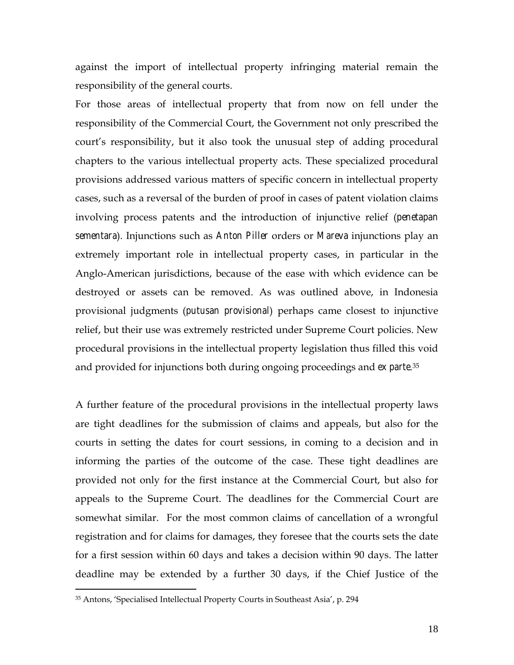against the import of intellectual property infringing material remain the responsibility of the general courts.

For those areas of intellectual property that from now on fell under the responsibility of the Commercial Court, the Government not only prescribed the court's responsibility, but it also took the unusual step of adding procedural chapters to the various intellectual property acts. These specialized procedural provisions addressed various matters of specific concern in intellectual property cases, such as a reversal of the burden of proof in cases of patent violation claims involving process patents and the introduction of injunctive relief (*penetapan sementara*). Injunctions such as *Anton Piller* orders or *Mareva* injunctions play an extremely important role in intellectual property cases, in particular in the Anglo-American jurisdictions, because of the ease with which evidence can be destroyed or assets can be removed. As was outlined above, in Indonesia provisional judgments (*putusan provisional*) perhaps came closest to injunctive relief, but their use was extremely restricted under Supreme Court policies. New procedural provisions in the intellectual property legislation thus filled this void and provided for injunctions both during ongoing proceedings and *ex parte*.35

A further feature of the procedural provisions in the intellectual property laws are tight deadlines for the submission of claims and appeals, but also for the courts in setting the dates for court sessions, in coming to a decision and in informing the parties of the outcome of the case. These tight deadlines are provided not only for the first instance at the Commercial Court, but also for appeals to the Supreme Court. The deadlines for the Commercial Court are somewhat similar. For the most common claims of cancellation of a wrongful registration and for claims for damages, they foresee that the courts sets the date for a first session within 60 days and takes a decision within 90 days. The latter deadline may be extended by a further 30 days, if the Chief Justice of the

<sup>35</sup> Antons, 'Specialised Intellectual Property Courts in Southeast Asia', p. 294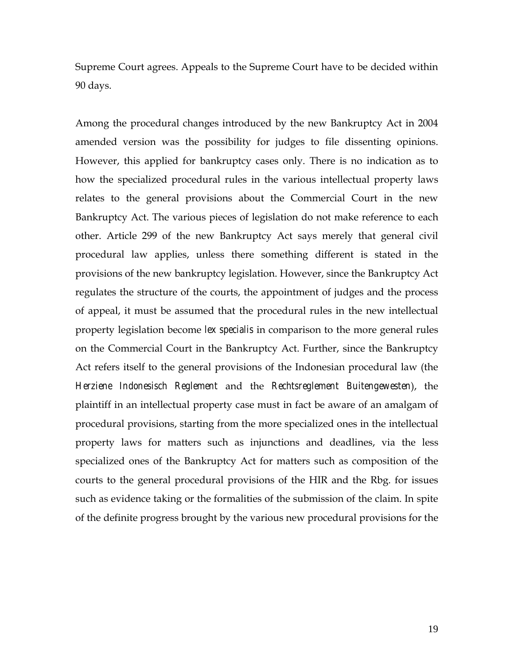Supreme Court agrees. Appeals to the Supreme Court have to be decided within 90 days.

Among the procedural changes introduced by the new Bankruptcy Act in 2004 amended version was the possibility for judges to file dissenting opinions. However, this applied for bankruptcy cases only. There is no indication as to how the specialized procedural rules in the various intellectual property laws relates to the general provisions about the Commercial Court in the new Bankruptcy Act. The various pieces of legislation do not make reference to each other. Article 299 of the new Bankruptcy Act says merely that general civil procedural law applies, unless there something different is stated in the provisions of the new bankruptcy legislation. However, since the Bankruptcy Act regulates the structure of the courts, the appointment of judges and the process of appeal, it must be assumed that the procedural rules in the new intellectual property legislation become *lex specialis* in comparison to the more general rules on the Commercial Court in the Bankruptcy Act. Further, since the Bankruptcy Act refers itself to the general provisions of the Indonesian procedural law (the *Herziene Indonesisch Reglement* and the *Rechtsreglement Buitengewesten*), the plaintiff in an intellectual property case must in fact be aware of an amalgam of procedural provisions, starting from the more specialized ones in the intellectual property laws for matters such as injunctions and deadlines, via the less specialized ones of the Bankruptcy Act for matters such as composition of the courts to the general procedural provisions of the HIR and the Rbg. for issues such as evidence taking or the formalities of the submission of the claim. In spite of the definite progress brought by the various new procedural provisions for the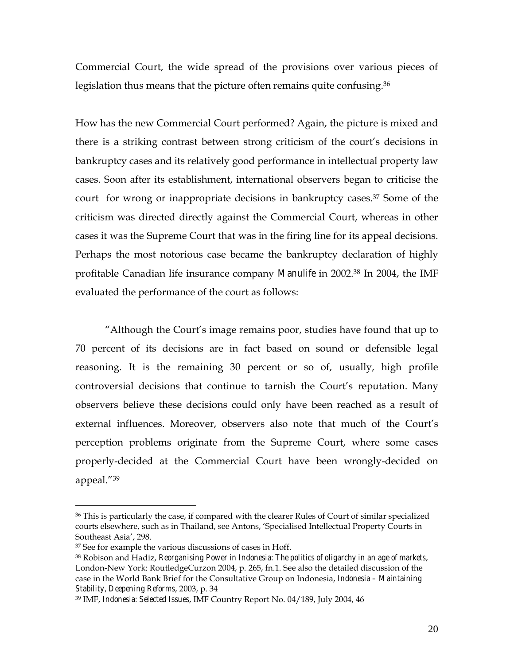Commercial Court, the wide spread of the provisions over various pieces of legislation thus means that the picture often remains quite confusing.<sup>36</sup>

How has the new Commercial Court performed? Again, the picture is mixed and there is a striking contrast between strong criticism of the court's decisions in bankruptcy cases and its relatively good performance in intellectual property law cases. Soon after its establishment, international observers began to criticise the court for wrong or inappropriate decisions in bankruptcy cases.<sup>37</sup> Some of the criticism was directed directly against the Commercial Court, whereas in other cases it was the Supreme Court that was in the firing line for its appeal decisions. Perhaps the most notorious case became the bankruptcy declaration of highly profitable Canadian life insurance company *Manulife* in 2002.38 In 2004, the IMF evaluated the performance of the court as follows:

"Although the Court's image remains poor, studies have found that up to 70 percent of its decisions are in fact based on sound or defensible legal reasoning. It is the remaining 30 percent or so of, usually, high profile controversial decisions that continue to tarnish the Court's reputation. Many observers believe these decisions could only have been reached as a result of external influences. Moreover, observers also note that much of the Court's perception problems originate from the Supreme Court, where some cases properly-decided at the Commercial Court have been wrongly-decided on appeal."39

<sup>36</sup> This is particularly the case, if compared with the clearer Rules of Court of similar specialized courts elsewhere, such as in Thailand, see Antons, 'Specialised Intellectual Property Courts in Southeast Asia', 298.

<sup>&</sup>lt;sup>37</sup> See for example the various discussions of cases in Hoff.

<sup>38</sup> Robison and Hadiz, *Reorganising Power in Indonesia: The politics of oligarchy in an age of markets*, London-New York: RoutledgeCurzon 2004, p. 265, fn.1. See also the detailed discussion of the case in the World Bank Brief for the Consultative Group on Indonesia, *Indonesia – Maintaining Stability, Deepening Reforms*, 2003, p. 34

<sup>39</sup> IMF, *Indonesia: Selected Issues*, IMF Country Report No. 04/189, July 2004, 46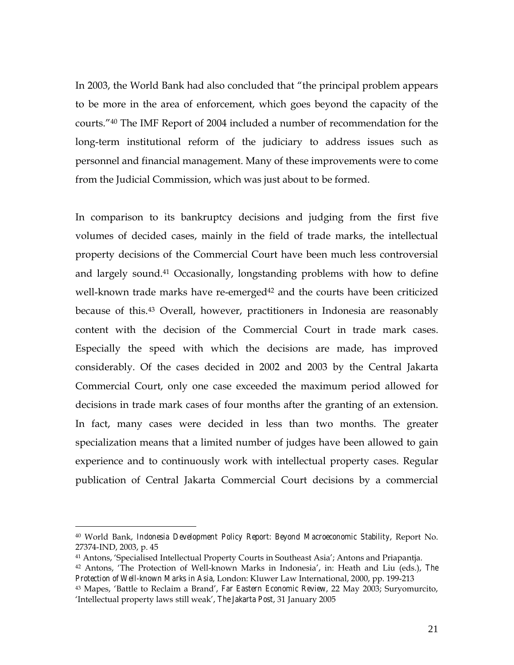In 2003, the World Bank had also concluded that "the principal problem appears to be more in the area of enforcement, which goes beyond the capacity of the courts."40 The IMF Report of 2004 included a number of recommendation for the long-term institutional reform of the judiciary to address issues such as personnel and financial management. Many of these improvements were to come from the Judicial Commission, which was just about to be formed.

In comparison to its bankruptcy decisions and judging from the first five volumes of decided cases, mainly in the field of trade marks, the intellectual property decisions of the Commercial Court have been much less controversial and largely sound.41 Occasionally, longstanding problems with how to define well-known trade marks have re-emerged<sup>42</sup> and the courts have been criticized because of this.43 Overall, however, practitioners in Indonesia are reasonably content with the decision of the Commercial Court in trade mark cases. Especially the speed with which the decisions are made, has improved considerably. Of the cases decided in 2002 and 2003 by the Central Jakarta Commercial Court, only one case exceeded the maximum period allowed for decisions in trade mark cases of four months after the granting of an extension. In fact, many cases were decided in less than two months. The greater specialization means that a limited number of judges have been allowed to gain experience and to continuously work with intellectual property cases. Regular publication of Central Jakarta Commercial Court decisions by a commercial

<sup>40</sup> World Bank, *Indonesia Development Policy Report: Beyond Macroeconomic Stability*, Report No. 27374-IND, 2003, p. 45

<sup>41</sup> Antons, 'Specialised Intellectual Property Courts in Southeast Asia'; Antons and Priapantja.

<sup>42</sup> Antons, 'The Protection of Well-known Marks in Indonesia', in: Heath and Liu (eds.), *The Protection of Well-known Marks in Asia*, London: Kluwer Law International, 2000, pp. 199-213

<sup>43</sup> Mapes, 'Battle to Reclaim a Brand', *Far Eastern Economic Review*, 22 May 2003; Suryomurcito, 'Intellectual property laws still weak', *The Jakarta Post*, 31 January 2005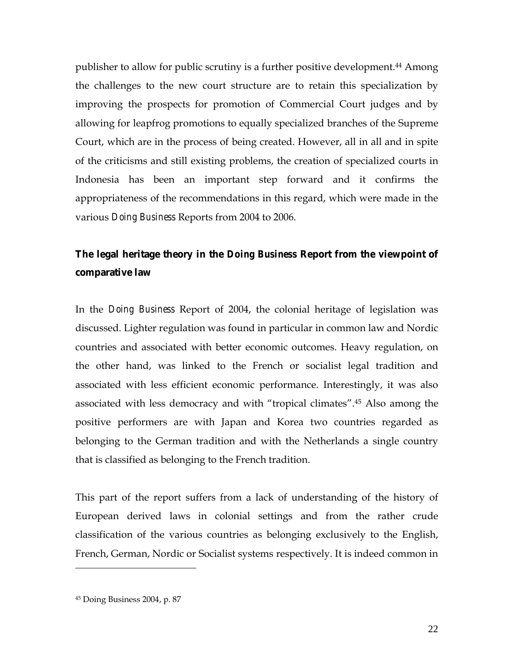publisher to allow for public scrutiny is a further positive development.<sup>44</sup> Among the challenges to the new court structure are to retain this specialization by improving the prospects for promotion of Commercial Court judges and by allowing for leapfrog promotions to equally specialized branches of the Supreme Court, which are in the process of being created. However, all in all and in spite of the criticisms and still existing problems, the creation of specialized courts in Indonesia has been an important step forward and it confirms the appropriateness of the recommendations in this regard, which were made in the various *Doing Business* Reports from 2004 to 2006.

**The legal heritage theory in the** *Doing Business* **Report from the viewpoint of comparative law**

In the *Doing Business* Report of 2004, the colonial heritage of legislation was discussed. Lighter regulation was found in particular in common law and Nordic countries and associated with better economic outcomes. Heavy regulation, on the other hand, was linked to the French or socialist legal tradition and associated with less efficient economic performance. Interestingly, it was also associated with less democracy and with "tropical climates".45 Also among the positive performers are with Japan and Korea two countries regarded as belonging to the German tradition and with the Netherlands a single country that is classified as belonging to the French tradition.

This part of the report suffers from a lack of understanding of the history of European derived laws in colonial settings and from the rather crude classification of the various countries as belonging exclusively to the English, French, German, Nordic or Socialist systems respectively. It is indeed common in

<sup>45</sup> Doing Business 2004, p. 87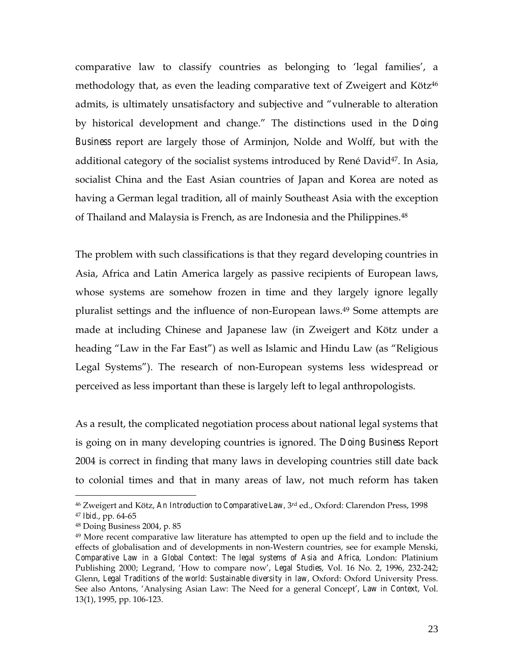comparative law to classify countries as belonging to 'legal families', a methodology that, as even the leading comparative text of Zweigert and Kötz<sup>46</sup> admits, is ultimately unsatisfactory and subjective and "vulnerable to alteration by historical development and change." The distinctions used in the *Doing Business* report are largely those of Arminjon, Nolde and Wolff, but with the additional category of the socialist systems introduced by René David<sup>47</sup>. In Asia, socialist China and the East Asian countries of Japan and Korea are noted as having a German legal tradition, all of mainly Southeast Asia with the exception of Thailand and Malaysia is French, as are Indonesia and the Philippines.48

The problem with such classifications is that they regard developing countries in Asia, Africa and Latin America largely as passive recipients of European laws, whose systems are somehow frozen in time and they largely ignore legally pluralist settings and the influence of non-European laws.49 Some attempts are made at including Chinese and Japanese law (in Zweigert and Kötz under a heading "Law in the Far East") as well as Islamic and Hindu Law (as "Religious Legal Systems"). The research of non-European systems less widespread or perceived as less important than these is largely left to legal anthropologists.

As a result, the complicated negotiation process about national legal systems that is going on in many developing countries is ignored. The *Doing Business* Report 2004 is correct in finding that many laws in developing countries still date back to colonial times and that in many areas of law, not much reform has taken

<sup>46</sup> Zweigert and Kötz, *An Introduction to Comparative Law,* 3rd ed., Oxford: Clarendon Press, 1998 <sup>47</sup> *Ibid.*, pp. 64-65

<sup>48</sup> Doing Business 2004, p. 85

<sup>&</sup>lt;sup>49</sup> More recent comparative law literature has attempted to open up the field and to include the effects of globalisation and of developments in non-Western countries, see for example Menski, *Comparative Law in a Global Context: The legal systems of Asia and Africa*, London: Platinium Publishing 2000; Legrand, 'How to compare now', *Legal Studies*, Vol. 16 No. 2, 1996, 232-242; Glenn, *Legal Traditions of the world: Sustainable diversity in law*, Oxford: Oxford University Press. See also Antons, 'Analysing Asian Law: The Need for a general Concept', *Law in Context*, Vol. 13(1), 1995, pp. 106-123.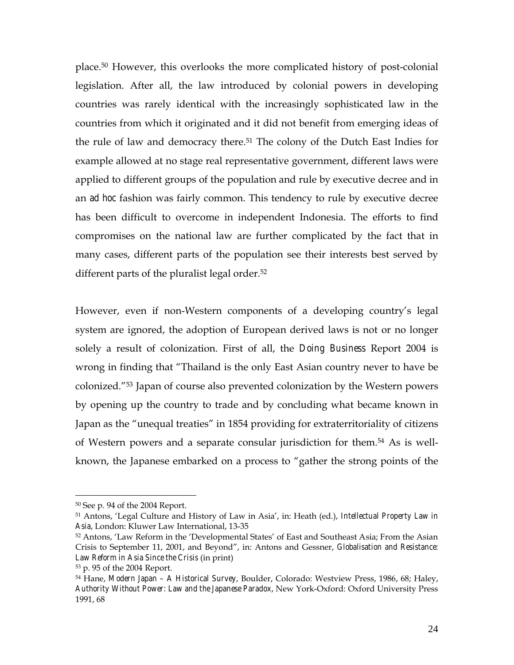place.50 However, this overlooks the more complicated history of post-colonial legislation. After all, the law introduced by colonial powers in developing countries was rarely identical with the increasingly sophisticated law in the countries from which it originated and it did not benefit from emerging ideas of the rule of law and democracy there.51 The colony of the Dutch East Indies for example allowed at no stage real representative government, different laws were applied to different groups of the population and rule by executive decree and in an *ad hoc* fashion was fairly common. This tendency to rule by executive decree has been difficult to overcome in independent Indonesia. The efforts to find compromises on the national law are further complicated by the fact that in many cases, different parts of the population see their interests best served by different parts of the pluralist legal order.<sup>52</sup>

However, even if non-Western components of a developing country's legal system are ignored, the adoption of European derived laws is not or no longer solely a result of colonization. First of all, the *Doing Business* Report 2004 is wrong in finding that "Thailand is the only East Asian country never to have be colonized."53 Japan of course also prevented colonization by the Western powers by opening up the country to trade and by concluding what became known in Japan as the "unequal treaties" in 1854 providing for extraterritoriality of citizens of Western powers and a separate consular jurisdiction for them.54 As is wellknown, the Japanese embarked on a process to "gather the strong points of the

<sup>50</sup> See p. 94 of the 2004 Report.

<sup>51</sup> Antons, 'Legal Culture and History of Law in Asia', in: Heath (ed.), *Intellectual Property Law in Asia*, London: Kluwer Law International, 13-35

<sup>52</sup> Antons, 'Law Reform in the 'Developmental States' of East and Southeast Asia; From the Asian Crisis to September 11, 2001, and Beyond", in: Antons and Gessner, *Globalisation and Resistance: Law Reform in Asia Since the Crisis* (in print)

<sup>53</sup> p. 95 of the 2004 Report.

<sup>54</sup> Hane, *Modern Japan – A Historical Survey*, Boulder, Colorado: Westview Press, 1986, 68; Haley, *Authority Without Power: Law and the Japanese Paradox*, New York-Oxford: Oxford University Press 1991, 68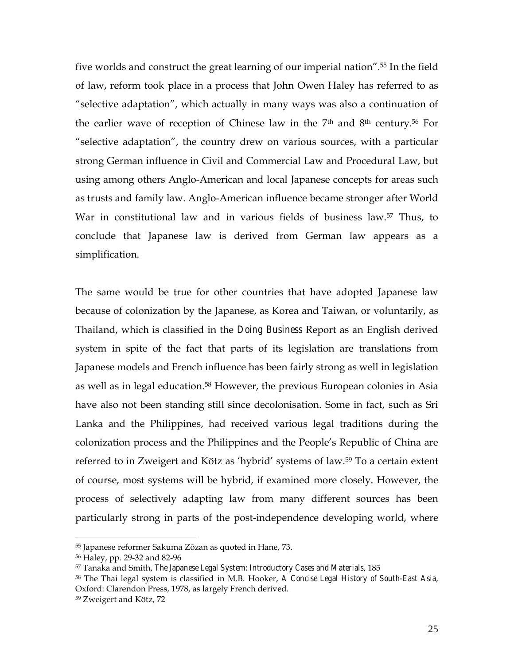five worlds and construct the great learning of our imperial nation".55 In the field of law, reform took place in a process that John Owen Haley has referred to as "selective adaptation", which actually in many ways was also a continuation of the earlier wave of reception of Chinese law in the 7<sup>th</sup> and 8<sup>th</sup> century.<sup>56</sup> For "selective adaptation", the country drew on various sources, with a particular strong German influence in Civil and Commercial Law and Procedural Law, but using among others Anglo-American and local Japanese concepts for areas such as trusts and family law. Anglo-American influence became stronger after World War in constitutional law and in various fields of business law.57 Thus, to conclude that Japanese law is derived from German law appears as a simplification.

The same would be true for other countries that have adopted Japanese law because of colonization by the Japanese, as Korea and Taiwan, or voluntarily, as Thailand, which is classified in the *Doing Business* Report as an English derived system in spite of the fact that parts of its legislation are translations from Japanese models and French influence has been fairly strong as well in legislation as well as in legal education.<sup>58</sup> However, the previous European colonies in Asia have also not been standing still since decolonisation. Some in fact, such as Sri Lanka and the Philippines, had received various legal traditions during the colonization process and the Philippines and the People's Republic of China are referred to in Zweigert and Kötz as 'hybrid' systems of law.59 To a certain extent of course, most systems will be hybrid, if examined more closely. However, the process of selectively adapting law from many different sources has been particularly strong in parts of the post-independence developing world, where

<sup>55</sup> Japanese reformer Sakuma Zōzan as quoted in Hane, 73.

<sup>56</sup> Haley, pp. 29-32 and 82-96

<sup>57</sup> Tanaka and Smith, *The Japanese Legal System: Introductory Cases and Materials*, 185

<sup>58</sup> The Thai legal system is classified in M.B. Hooker, *A Concise Legal History of South-East Asia*, Oxford: Clarendon Press, 1978, as largely French derived.

<sup>59</sup> Zweigert and Kötz, 72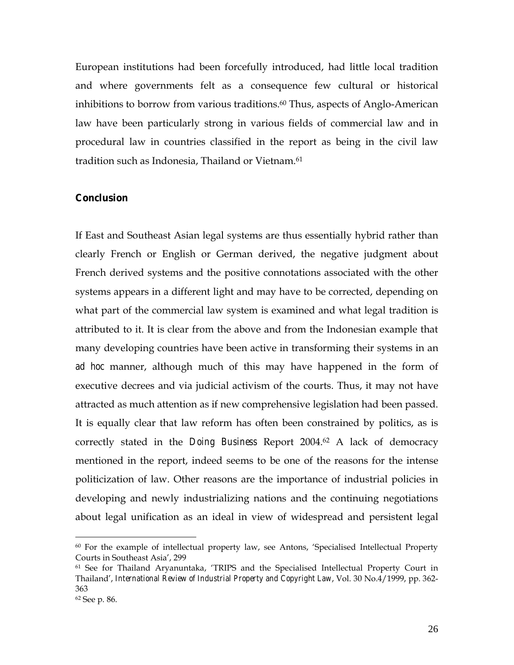European institutions had been forcefully introduced, had little local tradition and where governments felt as a consequence few cultural or historical inhibitions to borrow from various traditions.60 Thus, aspects of Anglo-American law have been particularly strong in various fields of commercial law and in procedural law in countries classified in the report as being in the civil law tradition such as Indonesia, Thailand or Vietnam.<sup>61</sup>

#### **Conclusion**

If East and Southeast Asian legal systems are thus essentially hybrid rather than clearly French or English or German derived, the negative judgment about French derived systems and the positive connotations associated with the other systems appears in a different light and may have to be corrected, depending on what part of the commercial law system is examined and what legal tradition is attributed to it. It is clear from the above and from the Indonesian example that many developing countries have been active in transforming their systems in an *ad hoc* manner, although much of this may have happened in the form of executive decrees and via judicial activism of the courts. Thus, it may not have attracted as much attention as if new comprehensive legislation had been passed. It is equally clear that law reform has often been constrained by politics, as is correctly stated in the *Doing Business* Report 2004.62 A lack of democracy mentioned in the report, indeed seems to be one of the reasons for the intense politicization of law. Other reasons are the importance of industrial policies in developing and newly industrializing nations and the continuing negotiations about legal unification as an ideal in view of widespread and persistent legal

 $60$  For the example of intellectual property law, see Antons, 'Specialised Intellectual Property Courts in Southeast Asia', 299

<sup>61</sup> See for Thailand Aryanuntaka, 'TRIPS and the Specialised Intellectual Property Court in Thailand', *International Review of Industrial Property and Copyright Law*, Vol. 30 No.4/1999, pp. 362- 363

<sup>62</sup> See p. 86.